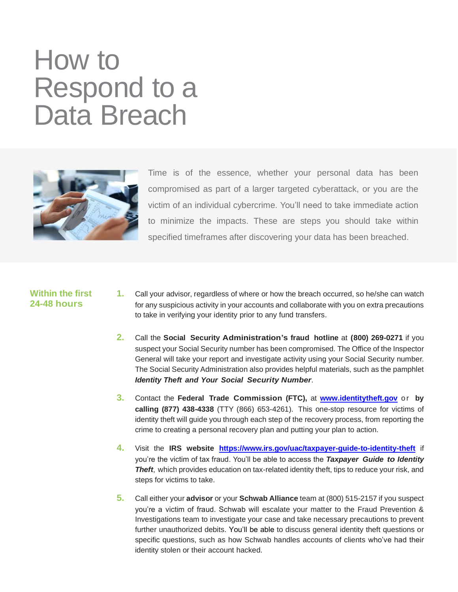# How to Respond to a Data Breach



Time is of the essence, whether your personal data has been compromised as part of a larger targeted cyberattack, or you are the victim of an individual cybercrime. You'll need to take immediate action to minimize the impacts. These are steps you should take within specified timeframes after discovering your data has been breached.

#### **Within the first 24-48 hours**

- **1.** Call your advisor, regardless of where or how the breach occurred, so he/she can watch for any suspicious activity in your accounts and collaborate with you on extra precautions to take in verifying your identity prior to any fund transfers.
- **2.** Call the **Social Security Administration's fraud hotline** at **(800) 269-0271** if you suspect your Social Security number has been compromised. The Office of the Inspector General will take your report and investigate activity using your Social Security number. The Social Security Administration also provides helpful materials, such as the pamphlet *Identity Theft and Your Social Security Number*.
- **3.** Contact the **Federal Trade Commission (FTC),** at **[www.identitytheft.gov](http://www.identitytheft.gov/)** o r **by calling (877) 438-4338** (TTY (866) 653-4261). This one-stop resource for victims of identity theft will guide you through each step of the recovery process, from reporting the crime to creating a personal recovery plan and putting your plan to action.
- **4.** Visit the **IRS website <https://www.irs.gov/uac/taxpayer-guide-to-identity-theft>** if you're the victim of tax fraud. You'll be able to access the *Taxpayer Guide to Identity*  **Theft**, which provides education on tax-related identity theft, tips to reduce your risk, and steps for victims to take.
- **5.** Call either your **advisor** or your **Schwab Alliance** team at (800) 515-2157 if you suspect you're a victim of fraud. Schwab will escalate your matter to the Fraud Prevention & Investigations team to investigate your case and take necessary precautions to prevent further unauthorized debits. You'll be able to discuss general identity theft questions or specific questions, such as how Schwab handles accounts of clients who've had their identity stolen or their account hacked.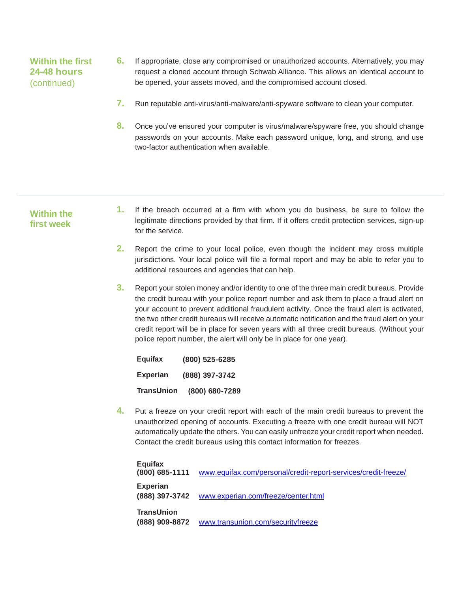## **Within the first 24-48 hours** (continued)

- **6.** If appropriate, close any compromised or unauthorized accounts. Alternatively, you may request a cloned account through Schwab Alliance. This allows an identical account to be opened, your assets moved, and the compromised account closed.
- **7.** Run reputable anti-virus/anti-malware/anti-spyware software to clean your computer.
- **8.** Once you've ensured your computer is virus/malware/spyware free, you should change passwords on your accounts. Make each password unique, long, and strong, and use two-factor authentication when available.

#### **Within the first week**

- **1.** If the breach occurred at a firm with whom you do business, be sure to follow the legitimate directions provided by that firm. If it offers credit protection services, sign-up for the service.
- **2.** Report the crime to your local police, even though the incident may cross multiple jurisdictions. Your local police will file a formal report and may be able to refer you to additional resources and agencies that can help.
- **3.** Report your stolen money and/or identity to one of the three main credit bureaus. Provide the credit bureau with your police report number and ask them to place a fraud alert on your account to prevent additional fraudulent activity. Once the fraud alert is activated, the two other credit bureaus will receive automatic notification and the fraud alert on your credit report will be in place for seven years with all three credit bureaus. (Without your police report number, the alert will only be in place for one year).

**Equifax (800) 525-6285 Experian (888) 397-3742 TransUnion (800) 680-7289**

**4.** Put a freeze on your credit report with each of the main credit bureaus to prevent the unauthorized opening of accounts. Executing a freeze with one credit bureau will NOT automatically update the others. You can easily unfreeze your credit report when needed. Contact the credit bureaus using this contact information for freezes.

| Equifax<br>$(800)$ 685-1111         | www.equifax.com/personal/credit-report-services/credit-freeze/ |
|-------------------------------------|----------------------------------------------------------------|
| <b>Experian</b><br>(888) 397-3742   | www.experian.com/freeze/center.html                            |
| <b>TransUnion</b><br>(888) 909-8872 | www.transunion.com/securityfreeze                              |